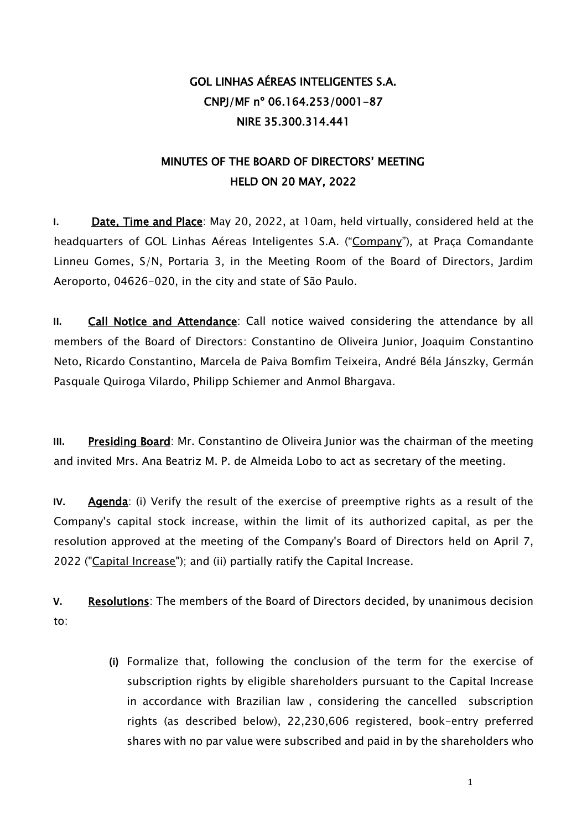## GOL LINHAS AÉREAS INTELIGENTES S.A. CNPJ/MF nº 06.164.253/0001-87 NIRE 35.300.314.441

## MINUTES OF THE BOARD OF DIRECTORS' MEETING HELD ON 20 MAY, 2022

**I.** Date, Time and Place: May 20, 2022, at 10am, held virtually, considered held at the headquarters of GOL Linhas Aéreas Inteligentes S.A. ("Company"), at Praça Comandante Linneu Gomes, S/N, Portaria 3, in the Meeting Room of the Board of Directors, Jardim Aeroporto, 04626-020, in the city and state of São Paulo.

**II.** Call Notice and Attendance: Call notice waived considering the attendance by all members of the Board of Directors: Constantino de Oliveira Junior, Joaquim Constantino Neto, Ricardo Constantino, Marcela de Paiva Bomfim Teixeira, André Béla Jánszky, Germán Pasquale Quiroga Vilardo, Philipp Schiemer and Anmol Bhargava.

**III.** Presiding Board: Mr. Constantino de Oliveira Junior was the chairman of the meeting and invited Mrs. Ana Beatriz M. P. de Almeida Lobo to act as secretary of the meeting.

**IV.** Agenda: (i) Verify the result of the exercise of preemptive rights as a result of the Company's capital stock increase, within the limit of its authorized capital, as per the resolution approved at the meeting of the Company's Board of Directors held on April 7, 2022 ("Capital Increase"); and (ii) partially ratify the Capital Increase.

**V.** Resolutions: The members of the Board of Directors decided, by unanimous decision to:

> **(i)** Formalize that, following the conclusion of the term for the exercise of subscription rights by eligible shareholders pursuant to the Capital Increase in accordance with Brazilian law , considering the cancelled subscription rights (as described below), 22,230,606 registered, book-entry preferred shares with no par value were subscribed and paid in by the shareholders who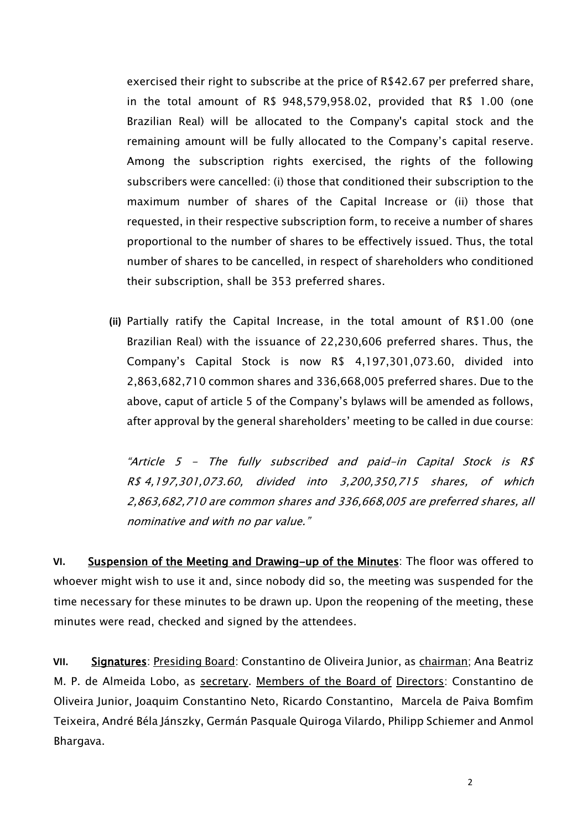exercised their right to subscribe at the price of R\$42.67 per preferred share, in the total amount of R\$ 948,579,958.02, provided that R\$ 1.00 (one Brazilian Real) will be allocated to the Company's capital stock and the remaining amount will be fully allocated to the Company's capital reserve. Among the subscription rights exercised, the rights of the following subscribers were cancelled: (i) those that conditioned their subscription to the maximum number of shares of the Capital Increase or (ii) those that requested, in their respective subscription form, to receive a number of shares proportional to the number of shares to be effectively issued. Thus, the total number of shares to be cancelled, in respect of shareholders who conditioned their subscription, shall be 353 preferred shares.

**(ii)** Partially ratify the Capital Increase, in the total amount of R\$1.00 (one Brazilian Real) with the issuance of 22,230,606 preferred shares. Thus, the Company's Capital Stock is now R\$ 4,197,301,073.60, divided into 2,863,682,710 common shares and 336,668,005 preferred shares. Due to the above, caput of article 5 of the Company's bylaws will be amended as follows, after approval by the general shareholders' meeting to be called in due course:

"Article 5 - The fully subscribed and paid-in Capital Stock is R\$ R\$ 4,197,301,073.60, divided into 3,200,350,715 shares, of which 2,863,682,710 are common shares and 336,668,005 are preferred shares, all nominative and with no par value."

**VI.** Suspension of the Meeting and Drawing-up of the Minutes: The floor was offered to whoever might wish to use it and, since nobody did so, the meeting was suspended for the time necessary for these minutes to be drawn up. Upon the reopening of the meeting, these minutes were read, checked and signed by the attendees.

**VII.** Signatures: Presiding Board: Constantino de Oliveira Junior, as chairman; Ana Beatriz M. P. de Almeida Lobo, as secretary. Members of the Board of Directors: Constantino de Oliveira Junior, Joaquim Constantino Neto, Ricardo Constantino, Marcela de Paiva Bomfim Teixeira, André Béla Jánszky, Germán Pasquale Quiroga Vilardo, Philipp Schiemer and Anmol Bhargava.